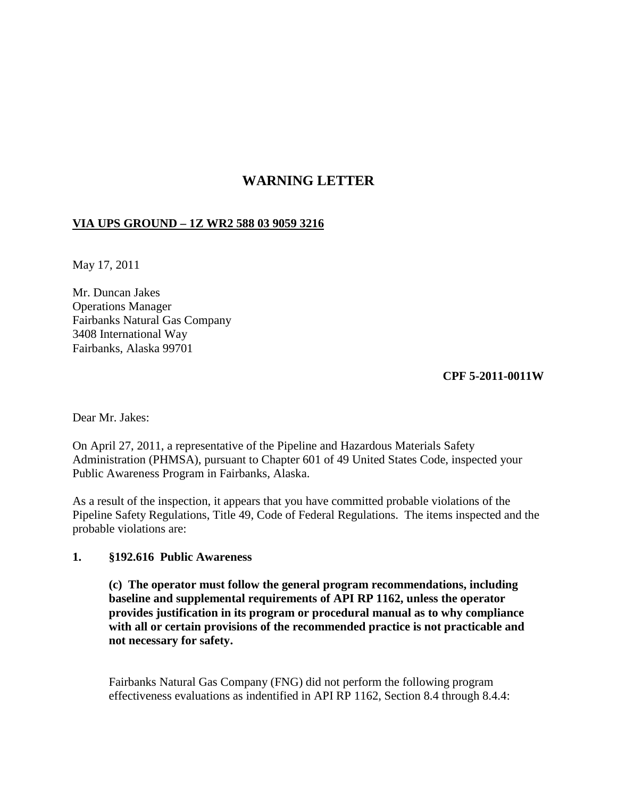## **WARNING LETTER**

## **VIA UPS GROUND – 1Z WR2 588 03 9059 3216**

May 17, 2011

Mr. Duncan Jakes Operations Manager Fairbanks Natural Gas Company 3408 International Way Fairbanks, Alaska 99701

**CPF 5-2011-0011W**

Dear Mr. Jakes:

On April 27, 2011, a representative of the Pipeline and Hazardous Materials Safety Administration (PHMSA), pursuant to Chapter 601 of 49 United States Code, inspected your Public Awareness Program in Fairbanks, Alaska.

As a result of the inspection, it appears that you have committed probable violations of the Pipeline Safety Regulations, Title 49, Code of Federal Regulations. The items inspected and the probable violations are:

## **1. §192.616 Public Awareness**

**(c) The operator must follow the general program recommendations, including baseline and supplemental requirements of API RP 1162, unless the operator provides justification in its program or procedural manual as to why compliance with all or certain provisions of the recommended practice is not practicable and not necessary for safety.**

Fairbanks Natural Gas Company (FNG) did not perform the following program effectiveness evaluations as indentified in API RP 1162, Section 8.4 through 8.4.4: